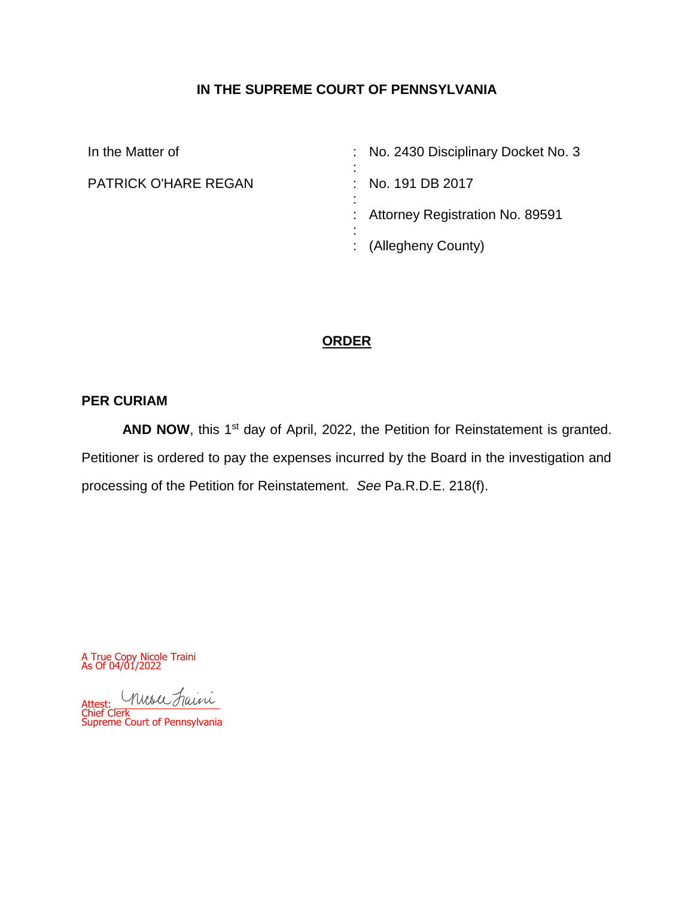# **IN THE SUPREME COURT OF PENNSYLVANIA**

| In the Matter of            | : No. 2430 Disciplinary Docket No. 3<br>٠           |
|-----------------------------|-----------------------------------------------------|
| <b>PATRICK O'HARE REGAN</b> | $\blacksquare$<br>: No. 191 DB 2017<br>٠            |
|                             | $\blacksquare$<br>: Attorney Registration No. 89591 |
|                             | $\blacksquare$<br>: (Allegheny County)              |

# **ORDER**

## **PER CURIAM**

AND NOW, this 1<sup>st</sup> day of April, 2022, the Petition for Reinstatement is granted. Petitioner is ordered to pay the expenses incurred by the Board in the investigation and processing of the Petition for Reinstatement. *See* Pa.R.D.E. 218(f).

A True Copy Nicole Traini As Of 04/01/2022

Attest: musu Faini Chief Clerk Supreme Court of Pennsylvania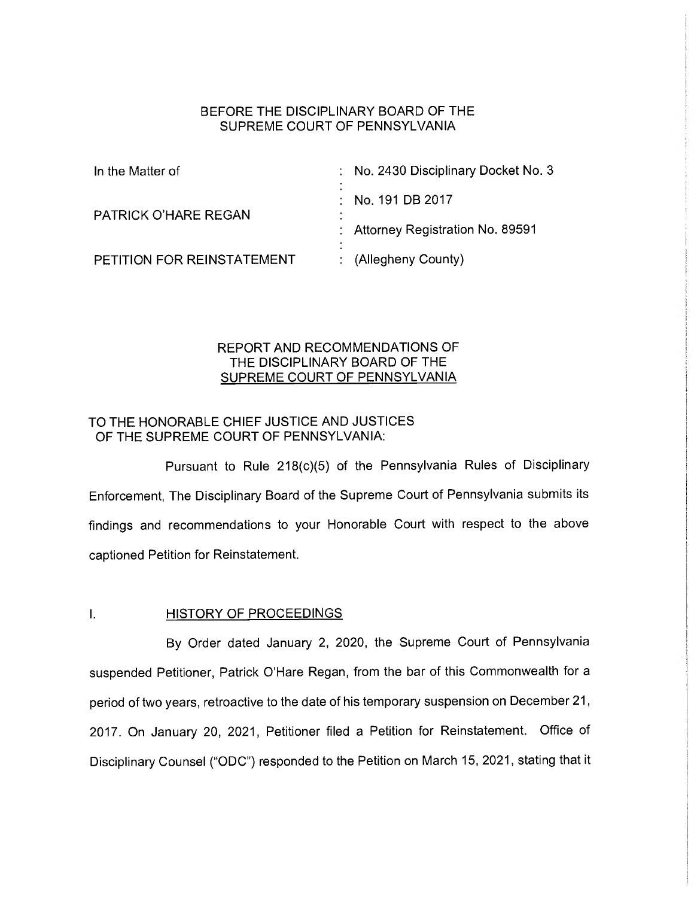### BEFORE THE DISCIPLINARY BOARD OF THE SUPREME COURT OF PENNSYLVANIA

| In the Matter of            | : No. 2430 Disciplinary Docket No. 3 |
|-----------------------------|--------------------------------------|
| <b>PATRICK O'HARE REGAN</b> | $\therefore$ No. 191 DB 2017         |
|                             | : Attorney Registration No. 89591    |
| PETITION FOR REINSTATEMENT  | : $(A \leq B)$ (Allegheny County)    |

## REPORT AND RECOMMENDATIONS OF THE DISCIPLINARY BOARD OF THE SUPREME COURT OF PENNSYLVANIA

## TO THE HONORABLE CHIEF JUSTICE AND JUSTICES OF THE SUPREME COURT OF PENNSYLVANIA:

Pursuant to Rule 218(c)(5) of the Pennsylvania Rules of Disciplinary Enforcement, The Disciplinary Board of the Supreme Court of Pennsylvania submits its findings and recommendations to your Honorable Court with respect to the above captioned Petition for Reinstatement.

### I. HISTORY OF PROCEEDINGS

By Order dated January 2, 2020, the Supreme Court of Pennsylvania suspended Petitioner, Patrick O'Hare Regan, from the bar of this Commonwealth for a period of two years, retroactive to the date of his temporary suspension on December 21, 2017. On January 20, 2021, Petitioner filed a Petition for Reinstatement. Office of Disciplinary Counsel ("ODC") responded to the Petition on March 15, 2021, stating that it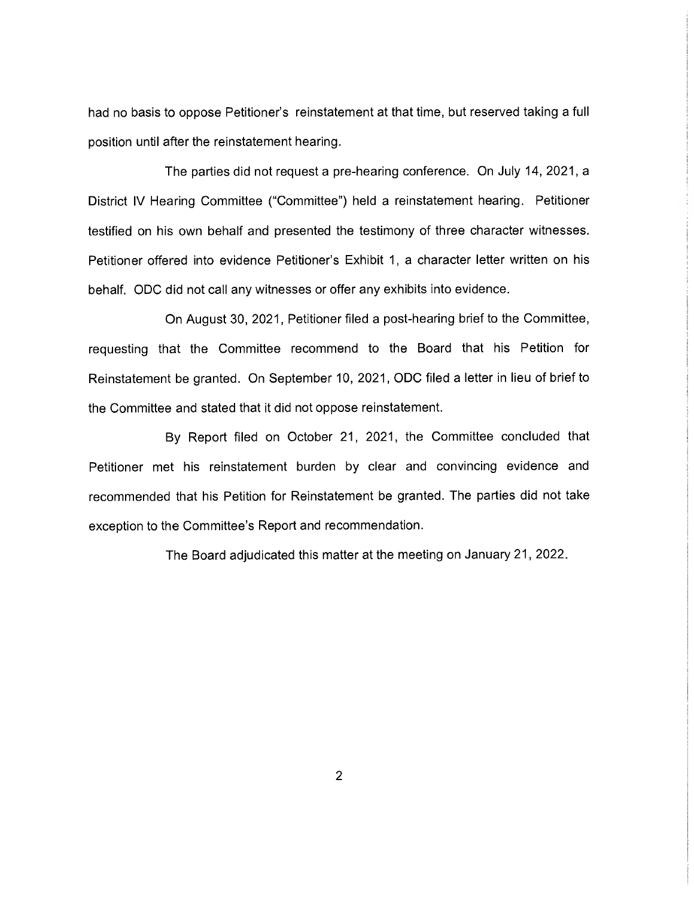had no basis to oppose Petitioner's reinstatement at that time, but reserved taking a full position until after the reinstatement hearing.

The parties did not request a pre-hearing conference. On July 14, 2021, a District IV Hearing Committee ("Committee") held a reinstatement hearing. Petitioner testified on his own behalf and presented the testimony of three character witnesses. Petitioner offered into evidence Petitioner's Exhibit 1, a character letter written on his behalf. ODC did not call any witnesses or offer any exhibits into evidence.

On August 30, 2021, Petitioner filed a post-hearing brief to the Committee, requesting that the Committee recommend to the Board that his Petition for Reinstatement be granted. On September 10, 2021, ODC filed a letter in lieu of brief to the Committee and stated that it did not oppose reinstatement.

By Report filed on October 21, 2021, the Committee concluded that Petitioner met his reinstatement burden by clear and convincing evidence and recommended that his Petition for Reinstatement be granted. The parties did not take exception to the Committee's Report and recommendation.

The Board adjudicated this matter at the meeting on January 21, 2022.

2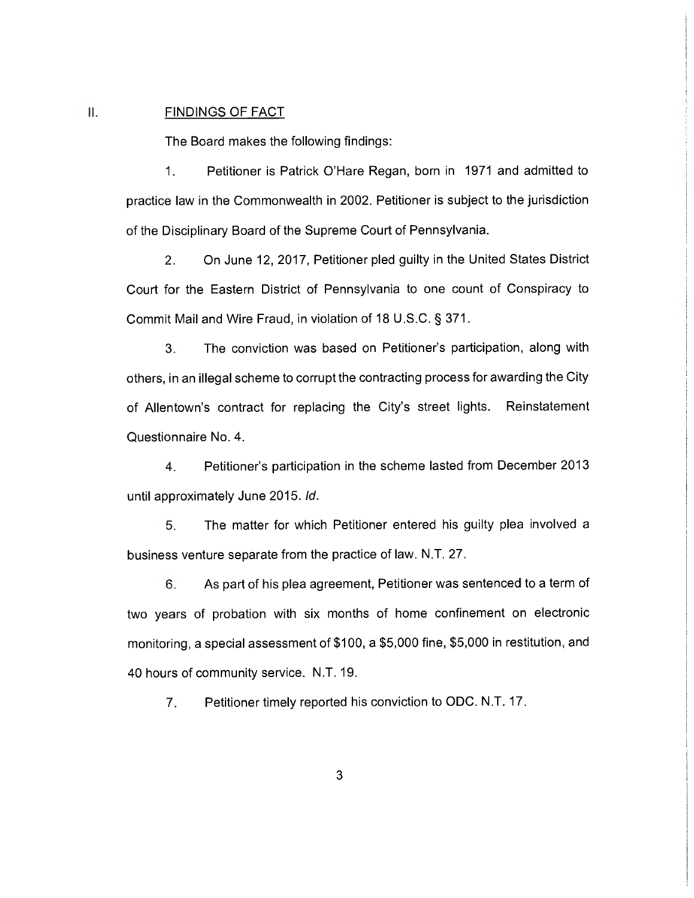#### II. FINDINGS OF FACT

The Board makes the following findings:

1. Petitioner is Patrick O'Hare Regan, born in 1971 and admitted to practice law in the Commonwealth in 2002. Petitioner is subject to the jurisdiction of the Disciplinary Board of the Supreme Court of Pennsylvania.

2. On June 12, 2017, Petitioner pled guilty in the United States District Court for the Eastern District of Pennsylvania to one count of Conspiracy to Commit Mail and Wire Fraud, in violation of 18 U.S.C. § 371.

3. The conviction was based on Petitioner's participation, along with others, in an illegal scheme to corrupt the contracting process for awarding the City of Allentown's contract for replacing the City's street lights. Reinstatement Questionnaire No. 4.

4. Petitioner's participation in the scheme lasted from December 2013 until approximately June 2015. Id.

5. The matter for which Petitioner entered his guilty plea involved a business venture separate from the practice of law. N.T. 27.

6. As part of his plea agreement, Petitioner was sentenced to a term of two years of probation with six months of home confinement on electronic monitoring, a special assessment of \$100, a \$5,000 fine, \$5,000 in restitution, and 40 hours of community service. N.T. 19.

7. Petitioner timely reported his conviction to ODC. N.T. 17.

3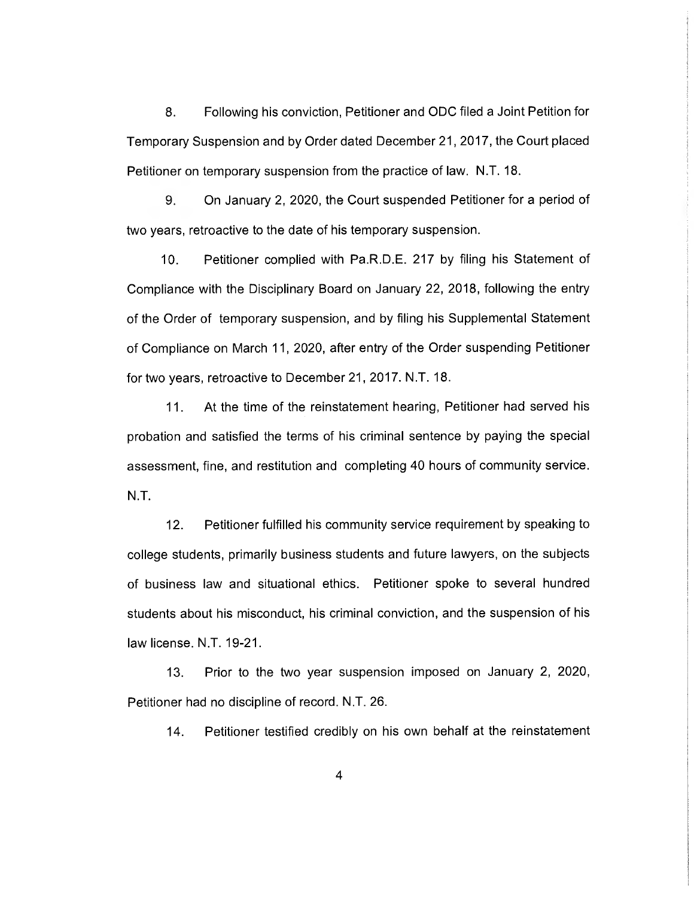8. Following his conviction, Petitioner and ODC filed a Joint Petition for Temporary Suspension and by Order dated December 21, 2017, the Court placed Petitioner on temporary suspension from the practice of law. N.T. 18.

9. On January 2, 2020, the Court suspended Petitioner for a period of two years, retroactive to the date of his temporary suspension.

10. Petitioner complied with Pa.R.D.E. 217 by filing his Statement of Compliance with the Disciplinary Board on January 22, 2018, following the entry of the Order of temporary suspension, and by filing his Supplemental Statement of Compliance on March 11, 2020, after entry of the Order suspending Petitioner for two years, retroactive to December 21, 2017. N.T. 18.

11. At the time of the reinstatement hearing, Petitioner had served his probation and satisfied the terms of his criminal sentence by paying the special assessment, fine, and restitution and completing 40 hours of community service. N.T.

12. Petitioner fulfilled his community service requirement by speaking to college students, primarily business students and future lawyers, on the subjects of business law and situational ethics. Petitioner spoke to several hundred students about his misconduct, his criminal conviction, and the suspension of his law license. N.T. 19-21.

13. Prior to the two year suspension imposed on January 2, 2020, Petitioner had no discipline of record. N.T. 26.

14. Petitioner testified credibly on his own behalf at the reinstatement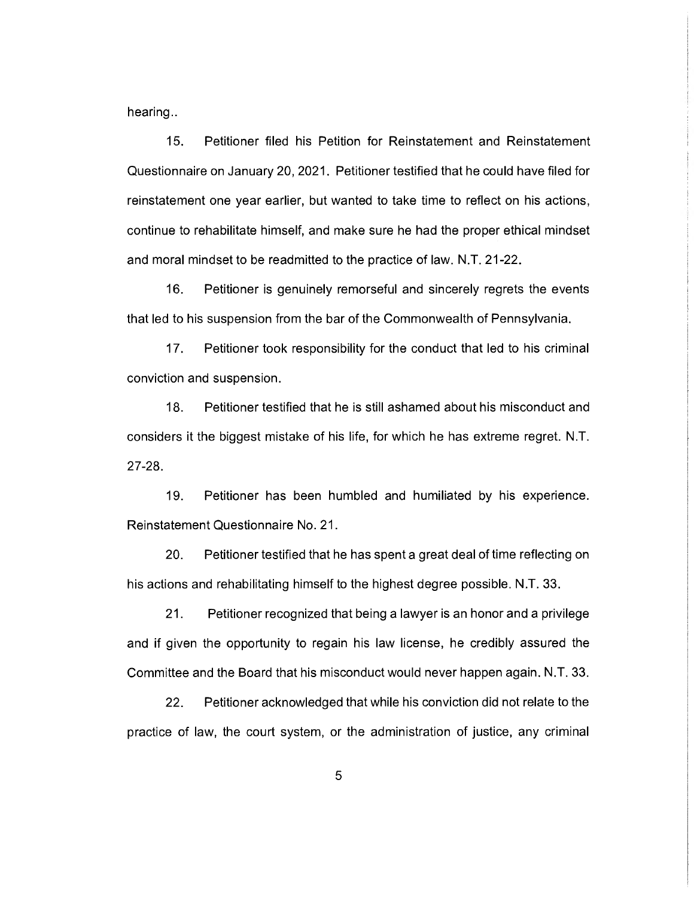hearing..

15. Petitioner filed his Petition for Reinstatement and Reinstatement Questionnaire on January 20, 2021. Petitioner testified that he could have filed for reinstatement one year earlier, but wanted to take time to reflect on his actions, continue to rehabilitate himself, and make sure he had the proper ethical mindset and moral mindset to be readmitted to the practice of law. N.T. 21-22.

16. Petitioner is genuinely remorseful and sincerely regrets the events that led to his suspension from the bar of the Commonwealth of Pennsylvania.

17. Petitioner took responsibility for the conduct that led to his criminal conviction and suspension.

18. Petitioner testified that he is still ashamed about his misconduct and considers it the biggest mistake of his life, for which he has extreme regret. N.T. 27-28.

19. Petitioner has been humbled and humiliated by his experience. Reinstatement Questionnaire No. 21.

20. Petitioner testified that he has spent a great deal of time reflecting on his actions and rehabilitating himself to the highest degree possible. N.T. 33.

21. Petitioner recognized that being a lawyer is an honor and a privilege and if given the opportunity to regain his law license, he credibly assured the Committee and the Board that his misconduct would never happen again. N.T. 33.

22. Petitioner acknowledged that while his conviction did not relate to the practice of law, the court system, or the administration of justice, any criminal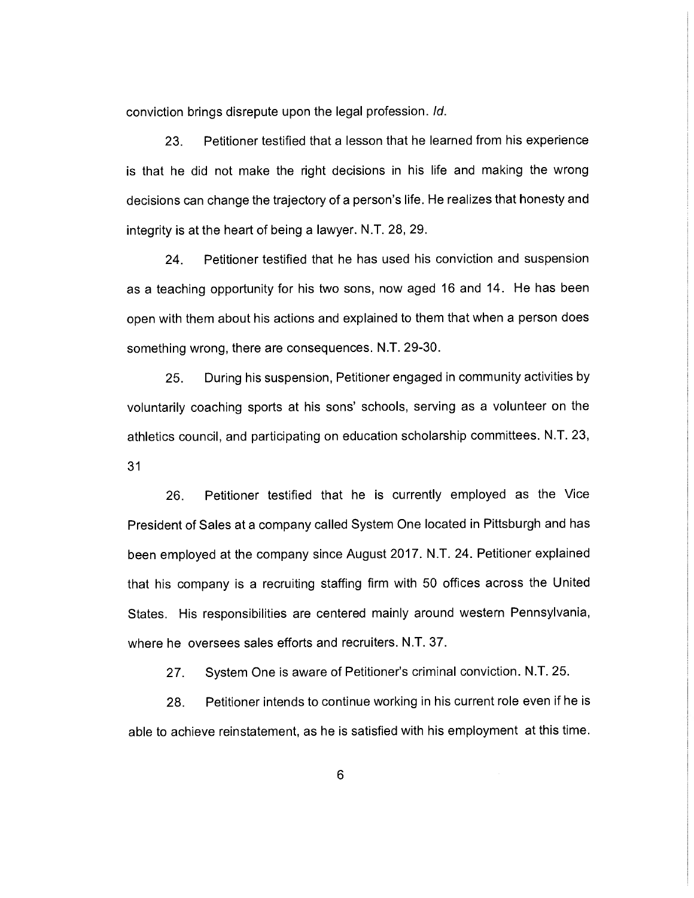conviction brings disrepute upon the legal profession. Id.

23. Petitioner testified that a lesson that he learned from his experience is that he did not make the right decisions in his life and making the wrong decisions can change the trajectory of a person's life. He realizes that honesty and integrity is at the heart of being a lawyer. N.T. 28, 29.

24. Petitioner testified that he has used his conviction and suspension as a teaching opportunity for his two sons, now aged 16 and 14. He has been open with them about his actions and explained to them that when a person does something wrong, there are consequences. N.T. 29-30.

25. During his suspension, Petitioner engaged in community activities by voluntarily coaching sports at his sons' schools, serving as a volunteer on the athletics council, and participating on education scholarship committees. N.T. 23, 31

26. Petitioner testified that he is currently employed as the Vice President of Sales at a company called System One located in Pittsburgh and has been employed at the company since August 2017. N.T. 24. Petitioner explained that his company is a recruiting staffing firm with 50 offices across the United States. His responsibilities are centered mainly around western Pennsylvania, where he oversees sales efforts and recruiters. N.T. 37.

27. System One is aware of Petitioner's criminal conviction. N.T. 25.

28. Petitioner intends to continue working in his current role even if he is able to achieve reinstatement, as he is satisfied with his employment at this time.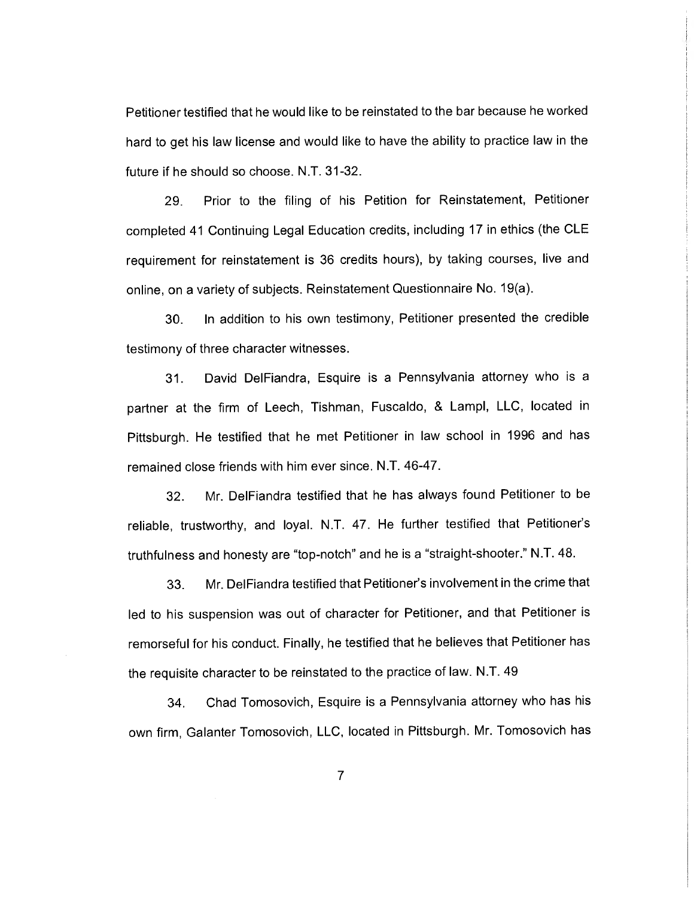Petitioner testified that he would like to be reinstated to the bar because he worked hard to get his law license and would like to have the ability to practice law in the future if he should so choose. N.T. 31-32.

29. Prior to the filing of his Petition for Reinstatement, Petitioner completed 41 Continuing Legal Education credits, including 17 in ethics (the CLE requirement for reinstatement is 36 credits hours), by taking courses, live and online, on a variety of subjects. Reinstatement Questionnaire No. 19(a).

30. In addition to his own testimony, Petitioner presented the credible testimony of three character witnesses.

31. David DelFiandra, Esquire is a Pennsylvania attorney who is a partner at the firm of Leech, Tishman, Fuscaldo, & Lampl, LLC, located in Pittsburgh. He testified that he met Petitioner in law school in 1996 and has remained close friends with him ever since. N.T. 46-47.

32. Mr. DelFiandra testified that he has always found Petitioner to be reliable, trustworthy, and loyal. N.T. 47. He further testified that Petitioner's truthfulness and honesty are "top-notch" and he is a "straight-shooter." N.T. 48.

33. Mr. DelFiandra testified that Petitioner's involvement in the crime that led to his suspension was out of character for Petitioner, and that Petitioner is remorseful for his conduct. Finally, he testified that he believes that Petitioner has the requisite character to be reinstated to the practice of law. N.T. 49

34. Chad Tomosovich, Esquire is a Pennsylvania attorney who has his own firm, Galanter Tomosovich, LLC, located in Pittsburgh. Mr. Tomosovich has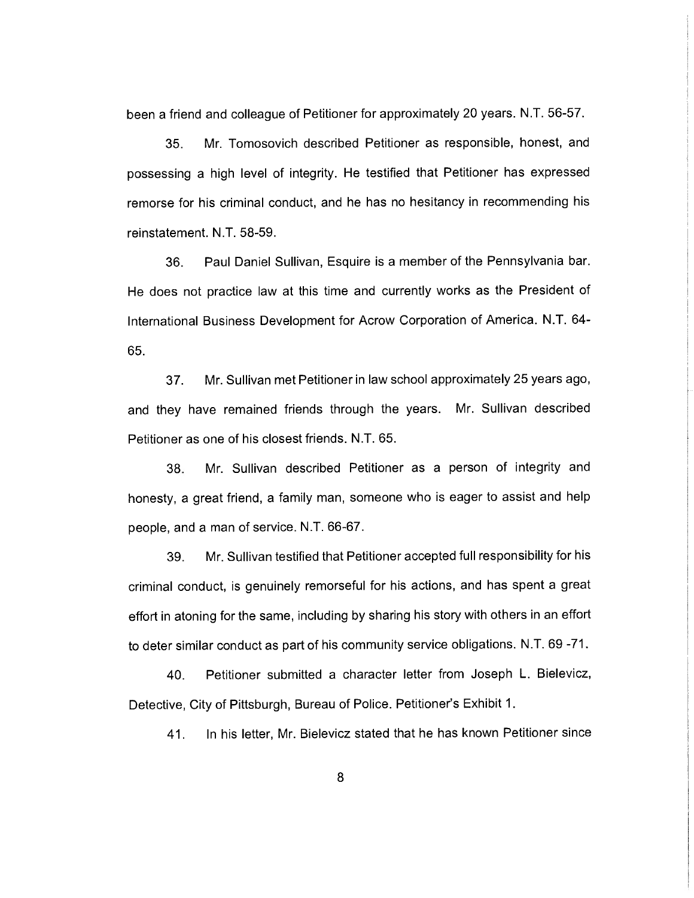been a friend and colleague of Petitioner for approximately 20 years. N.T. 56-57.

35. Mr. Tomosovich described Petitioner as responsible, honest, and possessing a high level of integrity. He testified that Petitioner has expressed remorse for his criminal conduct, and he has no hesitancy in recommending his reinstatement. N.T. 58-59.

36. Paul Daniel Sullivan, Esquire is a member of the Pennsylvania bar. He does not practice law at this time and currently works as the President of International Business Development for Acrow Corporation of America. N.T. 64- 65.

37. Mr. Sullivan met Petitioner in law school approximately 25 years ago, and they have remained friends through the years. Mr. Sullivan described Petitioner as one of his closest friends. N.T. 65.

38. Mr. Sullivan described Petitioner as a person of integrity and honesty, a great friend, a family man, someone who is eager to assist and help people, and a man of service. N.T. 66-67.

39. Mr. Sullivan testified that Petitioner accepted full responsibility for his criminal conduct, is genuinely remorseful for his actions, and has spent a great effort in atoning for the same, including by sharing his story with others in an effort to deter similar conduct as part of his community service obligations. N.T. 69 -71.

40. Petitioner submitted a character letter from Joseph L. Bielevicz, Detective, City of Pittsburgh, Bureau of Police. Petitioner's Exhibit 1.

41. In his letter, Mr. Bielevicz stated that he has known Petitioner since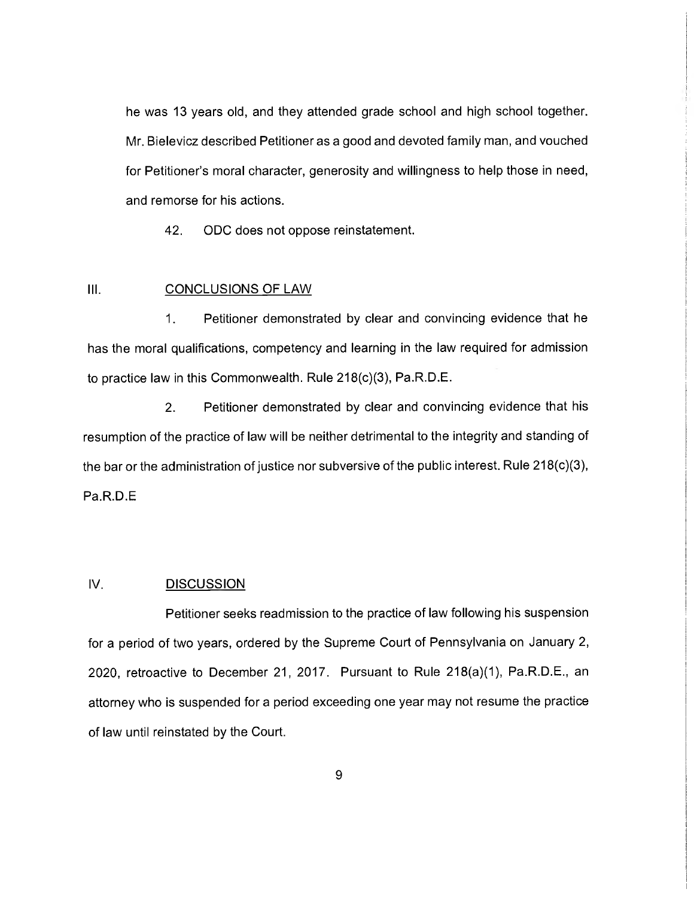he was 13 years old, and they attended grade school and high school together. Mr. Bielevicz described Petitioner as a good and devoted family man, and vouched for Petitioner's moral character, generosity and willingness to help those in need, and remorse for his actions.

42. ODC does not oppose reinstatement.

## III. CONCLUSIONS OF LAW

1. Petitioner demonstrated by clear and convincing evidence that he has the moral qualifications, competency and learning in the law required for admission to practice law in this Commonwealth. Rule 218(c)(3), Pa.R.D.E.

2. Petitioner demonstrated by clear and convincing evidence that his resumption of the practice of law will be neither detrimental to the integrity and standing of the bar or the administration of justice nor subversive of the public interest. Rule 218(c)(3), Pa.R.D.E

### IV. DISCUSSION

Petitioner seeks readmission to the practice of law following his suspension for a period of two years, ordered by the Supreme Court of Pennsylvania on January 2, 2020, retroactive to December 21, 2017. Pursuant to Rule 218(a)(1), Pa.R.D.E., an attorney who is suspended for a period exceeding one year may not resume the practice of law until reinstated by the Court.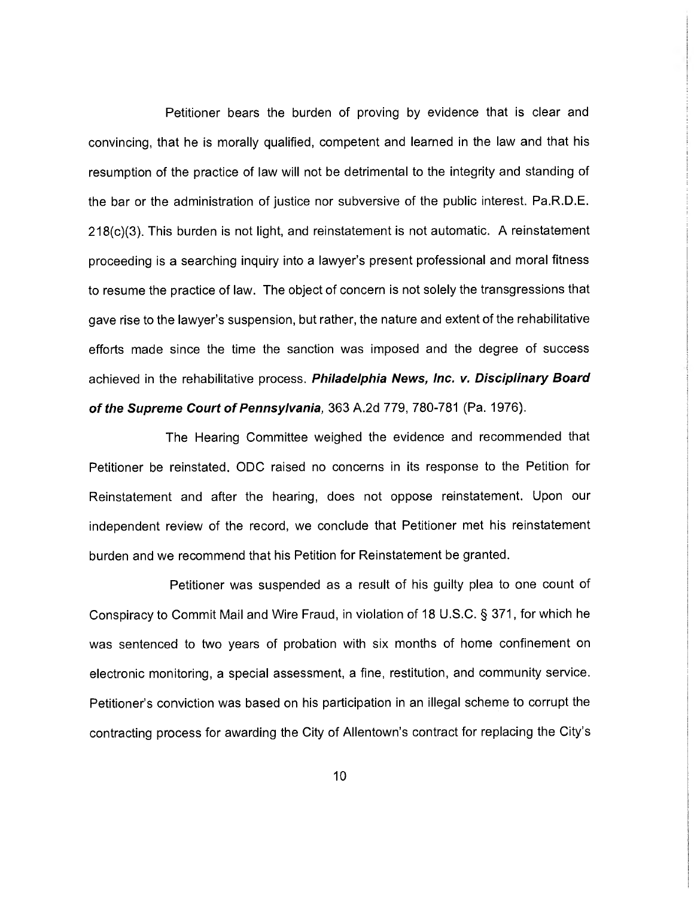Petitioner bears the burden of proving by evidence that is clear and convincing, that he is morally qualified, competent and learned in the law and that his resumption of the practice of law will not be detrimental to the integrity and standing of the bar or the administration of justice nor subversive of the public interest. Pa.R.D.E. 218(c)(3). This burden is not light, and reinstatement is not automatic. A reinstatement proceeding is a searching inquiry into a lawyer's present professional and moral fitness to resume the practice of law. The object of concern is not solely the transgressions that gave rise to the lawyer's suspension, but rather, the nature and extent of the rehabilitative efforts made since the time the sanction was imposed and the degree of success achieved in the rehabilitative process. Philadelphia News, Inc. v. Disciplinary Board of the Supreme Court of Pennsylvania, 363 A.2d 779, 780-781 (Pa. 1976).

The Hearing Committee weighed the evidence and recommended that Petitioner be reinstated. ODC raised no concerns in its response to the Petition for Reinstatement and after the hearing, does not oppose reinstatement. Upon our independent review of the record, we conclude that Petitioner met his reinstatement burden and we recommend that his Petition for Reinstatement be granted.

Petitioner was suspended as a result of his guilty plea to one count of Conspiracy to Commit Mail and Wire Fraud, in violation of 18 U.S.C. § 371, for which he was sentenced to two years of probation with six months of home confinement on electronic monitoring, a special assessment, a fine, restitution, and community service. Petitioner's conviction was based on his participation in an illegal scheme to corrupt the contracting process for awarding the City of Allentown's contract for replacing the City's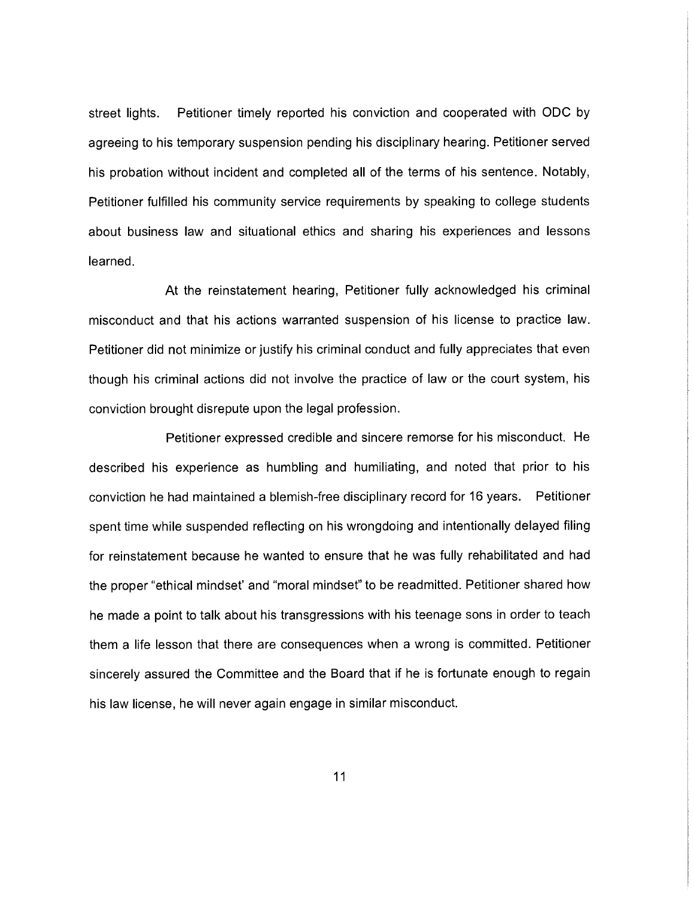street lights. Petitioner timely reported his conviction and cooperated with ODC by agreeing to his temporary suspension pending his disciplinary hearing. Petitioner served his probation without incident and completed all of the terms of his sentence. Notably, Petitioner fulfilled his community service requirements by speaking to college students about business law and situational ethics and sharing his experiences and lessons learned.

At the reinstatement hearing, Petitioner fully acknowledged his criminal misconduct and that his actions warranted suspension of his license to practice law. Petitioner did not minimize or justify his criminal conduct and fully appreciates that even though his criminal actions did not involve the practice of law or the court system, his conviction brought disrepute upon the legal profession.

Petitioner expressed credible and sincere remorse for his misconduct. He described his experience as humbling and humiliating, and noted that prior to his conviction he had maintained a blemish-free disciplinary record for 16 years. Petitioner spent time while suspended reflecting on his wrongdoing and intentionally delayed filing for reinstatement because he wanted to ensure that he was fully rehabilitated and had the proper "ethical mindset' and "moral mindset" to be readmitted. Petitioner shared how he made a point to talk about his transgressions with his teenage sons in order to teach them a life lesson that there are consequences when a wrong is committed. Petitioner sincerely assured the Committee and the Board that if he is fortunate enough to regain his law license, he will never again engage in similar misconduct.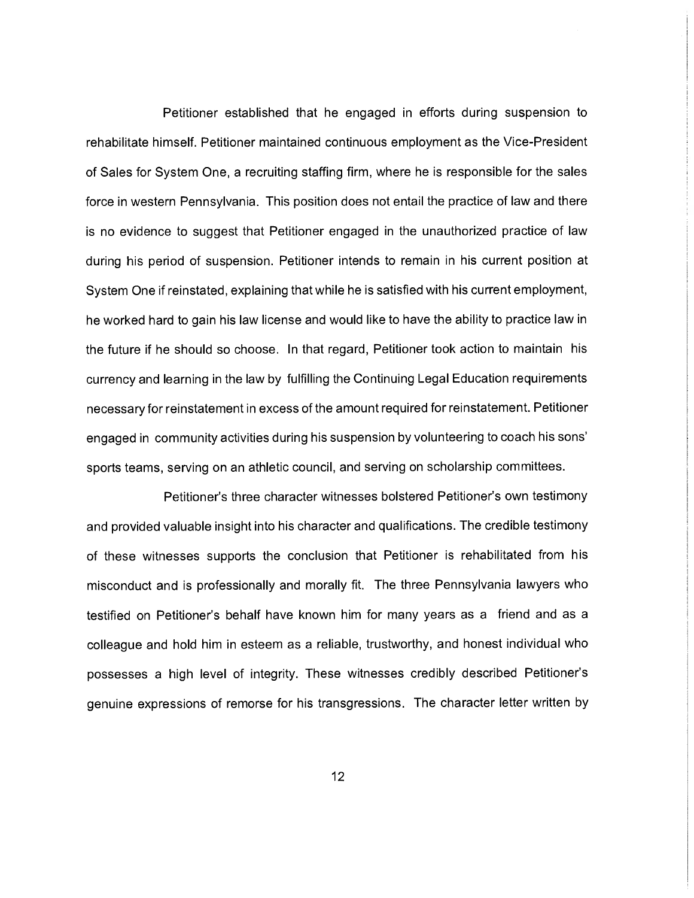Petitioner established that he engaged in efforts during suspension to rehabilitate himself. Petitioner maintained continuous employment as the Vice-President of Sales for System One, a recruiting staffing firm, where he is responsible for the sales force in western Pennsylvania. This position does not entail the practice of law and there is no evidence to suggest that Petitioner engaged in the unauthorized practice of law during his period of suspension. Petitioner intends to remain in his current position at System One if reinstated, explaining that while he is satisfied with his current employment, he worked hard to gain his law license and would like to have the ability to practice law in the future if he should so choose. In that regard, Petitioner took action to maintain his currency and learning in the law by fulfilling the Continuing Legal Education requirements necessary for reinstatement in excess of the amount required for reinstatement. Petitioner engaged in community activities during his suspension by volunteering to coach his sons' sports teams, serving on an athletic council, and serving on scholarship committees.

Petitioner's three character witnesses bolstered Petitioner's own testimony and provided valuable insight into his character and qualifications. The credible testimony of these witnesses supports the conclusion that Petitioner is rehabilitated from his misconduct and is professionally and morally fit. The three Pennsylvania lawyers who testified on Petitioner's behalf have known him for many years as a friend and as a colleague and hold him in esteem as a reliable, trustworthy, and honest individual who possesses a high level of integrity. These witnesses credibly described Petitioner's genuine expressions of remorse for his transgressions. The character letter written by

12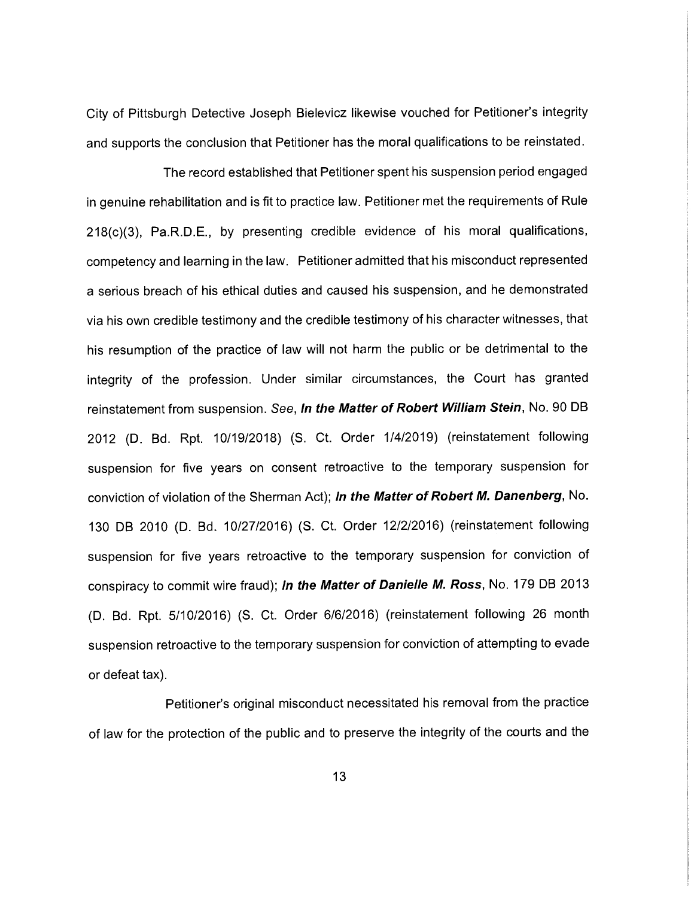City of Pittsburgh Detective Joseph Bielevicz likewise vouched for Petitioner's integrity and supports the conclusion that Petitioner has the moral qualifications to be reinstated.

The record established that Petitioner spent his suspension period engaged in genuine rehabilitation and is fit to practice law. Petitioner met the requirements of Rule 218(c)(3), Pa.R.D.E., by presenting credible evidence of his moral qualifications, competency and learning in the law. Petitioner admitted that his misconduct represented a serious breach of his ethical duties and caused his suspension, and he demonstrated via his own credible testimony and the credible testimony of his character witnesses, that his resumption of the practice of law will not harm the public or be detrimental to the integrity of the profession. Under similar circumstances, the Court has granted reinstatement from suspension. See, In the Matter of Robert William Stein, No. 90 DB 2012 (D. Bd. Rpt. 10/19/2018) (S. Ct. Order 1/4/2019) (reinstatement following suspension for five years on consent retroactive to the temporary suspension for conviction of violation of the Sherman Act); In the Matter of Robert M. Danenberg, No. 130 DB 2010 (D. Bd. 10/27/2016) (S. Ct. Order 12/2/2016) (reinstatement following suspension for five years retroactive to the temporary suspension for conviction of conspiracy to commit wire fraud); In the Matter of Danielle M. Ross, No. 179 DB 2013 (D. Bd. Rpt. 5/10/2016) (S. Ct. Order 6/6/2016) (reinstatement following 26 month suspension retroactive to the temporary suspension for conviction of attempting to evade or defeat tax).

Petitioner's original misconduct necessitated his removal from the practice of law for the protection of the public and to preserve the integrity of the courts and the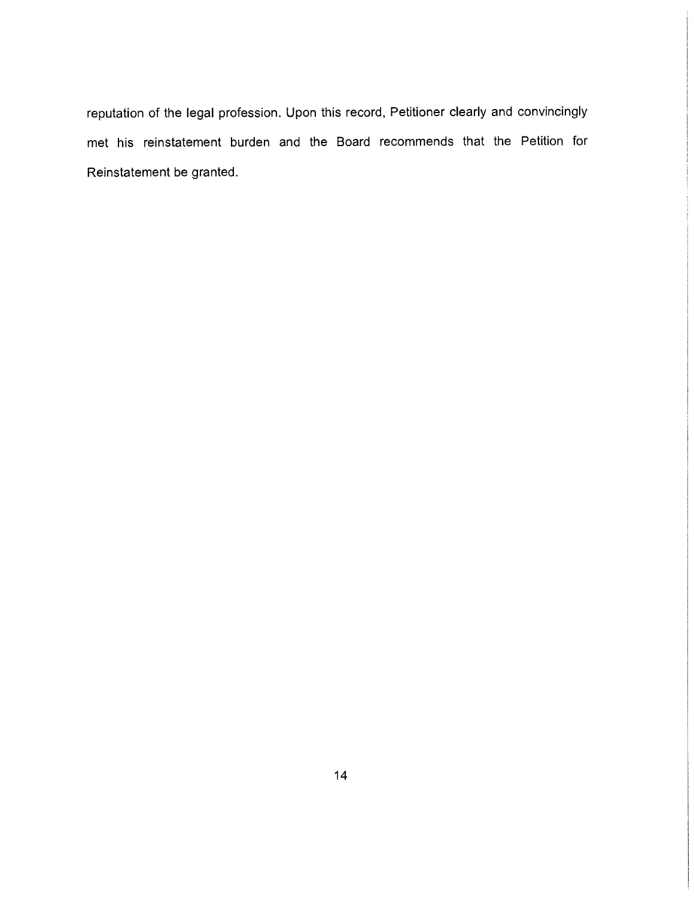reputation of the legal profession. Upon this record, Petitioner clearly and convincingly met his reinstatement burden and the Board recommends that the Petition for Reinstatement be granted.